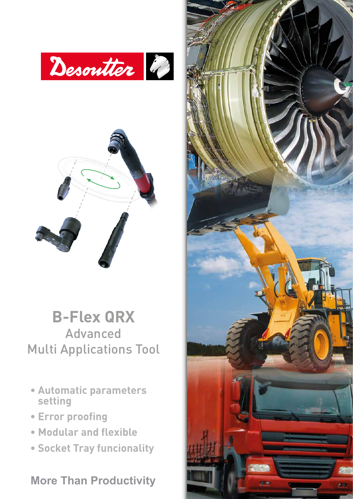



### **B-Flex QRX** Advanced Multi Applications Tool

- **Automatic parameters setting**
- **Error proofing**
- **Modular and flexible**
- **Socket Tray funcionality**

**More Than Productivity**

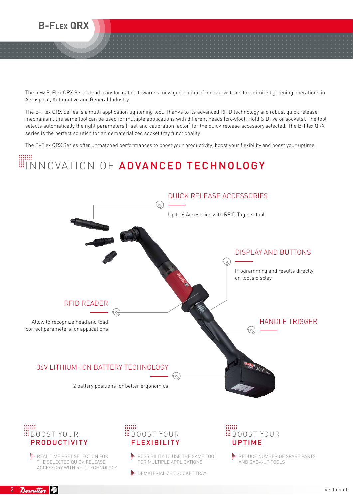

The new B-Flex QRX Series lead transformation towards a new generation of innovative tools to optimize tightening operations in Aerospace, Automotive and General Industry.

The B-Flex QRX Series is a multi application tightening tool. Thanks to its advanced RFID technology and robust quick release mechanism, the same tool can be used for multiple applications with different heads (crowfoot, Hold & Drive or sockets). The tool selects automatically the right parameters (Pset and calibration factor) for the quick release accessory selected. The B-Flex QRX series is the perfect solution for an dematerialized socket tray functionality.

The B-Flex QRX Series offer unmatched performances to boost your productivity, boost your flexibility and boost your uptime.

## INNOVATION OF ADVANCED TECHNOLOGY



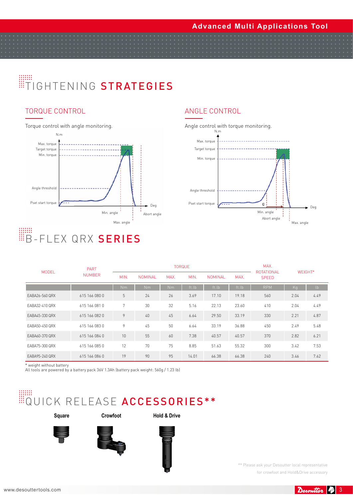#### **Advanced Multi Applications Tool**

## **TIGHTENING STRATEGIES**

#### TORQUE CONTROL

Torque control with angle monitoring.



### Angle control with torque monitoring. Min. torque

ANGLE CONTROL



| <b>MODEL</b>   | <b>PART</b><br><b>NUMBER</b> | <b>TORQUE</b>  |         |      |       |         |       | MAX.<br><b>ROTATIONAL</b> | WEIGHT* |               |
|----------------|------------------------------|----------------|---------|------|-------|---------|-------|---------------------------|---------|---------------|
|                |                              | MIN.           | NOMINAL | MAX. | MIN.  | NOMINAL | MAX.  | <b>SPEED</b>              |         |               |
|                |                              | Nm             | Nm      | Nm   | ft.lb | ft.lb   | ft.lb | <b>RPM</b>                | Kq      | $\mathsf{lb}$ |
| EABA26-560 QRX | 615 166 080 0                | 5              | 24      | 26   | 3.69  | 17.10   | 19.18 | 560                       | 2.04    | 4.49          |
| EABA32-410 QRX | 615 166 081 0                | 7              | 30      | 32   | 5.16  | 22.13   | 23.60 | 410                       | 2.04    | 4.49          |
| EABA45-330 QRX | 615 166 082 0                | $\overline{9}$ | 40      | 45   | 6.64  | 29.50   | 33.19 | 330                       | 2.21    | 4.87          |
| EABA50-450 QRX | 615 166 083 0                | 9              | 45      | 50   | 6.64  | 33.19   | 36.88 | 450                       | 2.49    | 5.48          |
| FABA60-370 QRX | 615 166 084 0                | 10             | 55      | 60   | 7.38  | 40.57   | 40.57 | 370                       | 2.82    | 6.21          |
| EABA75-300 QRX | 615 166 085 0                | 12             | 70      | 75   | 8.85  | 51.63   | 55.32 | 300                       | 3.42    | 7.53          |
| EABA95-240 QRX | 615 166 086 0                | 19             | 90      | 95   | 14.01 | 66.38   | 66.38 | 240                       | 3.46    | 7.62          |

\* weight without battery All tools are powered by a battery pack 36V 1.3Ah (battery pack weight: 560g / 1.23 lb)

# WEQUICK RELEASE ACCESSORIES\*\*

**Square Crowfoot Hold & Drive**







\*\* Please ask your Desoutter local representative for crowfoot and Hold&Drive accessory